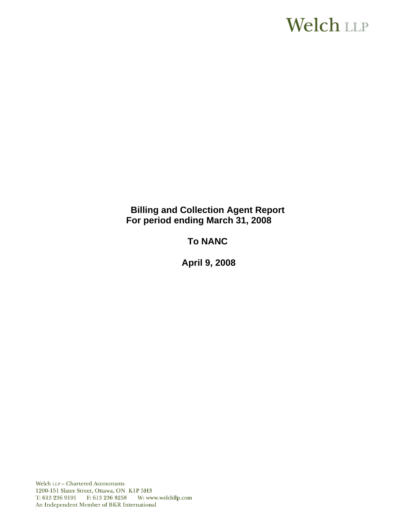# **Welch LLP**

# **Billing and Collection Agent Report For period ending March 31, 2008**

# **To NANC**

 **April 9, 2008**

Welch LLP - Chartered Accountants 1200-151 Slater Street, Ottawa, ON K1P 5H3 T: 613 236 9191 F: 613 236 8258 W: www.welchllp.com An Independent Member of BKR International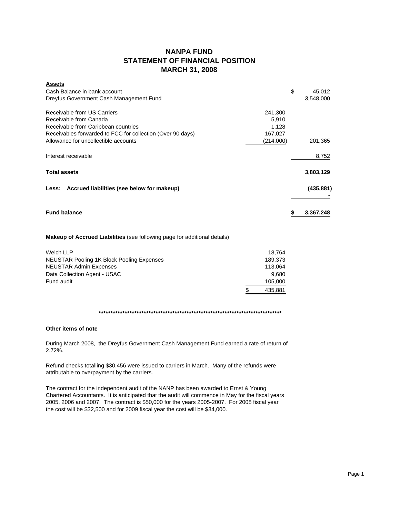## **NANPA FUND STATEMENT OF FINANCIAL POSITION MARCH 31, 2008**

| \$        | 45,012     |
|-----------|------------|
|           | 3,548,000  |
| 241,300   |            |
| 5,910     |            |
| 1,128     |            |
| 167,027   |            |
| (214,000) | 201,365    |
|           | 8,752      |
|           | 3,803,129  |
|           | (435, 881) |
|           | 3,367,248  |
|           |            |

**Makeup of Accrued Liabilities** (see following page for additional details)

| Welch LLP                                        | 18.764  |
|--------------------------------------------------|---------|
| <b>NEUSTAR Pooling 1K Block Pooling Expenses</b> | 189.373 |
| <b>NEUSTAR Admin Expenses</b>                    | 113.064 |
| Data Collection Agent - USAC                     | 9.680   |
| Fund audit                                       | 105,000 |
|                                                  | 435,881 |

## **\*\*\*\*\*\*\*\*\*\*\*\*\*\*\*\*\*\*\*\*\*\*\*\*\*\*\*\*\*\*\*\*\*\*\*\*\*\*\*\*\*\*\*\*\*\*\*\*\*\*\*\*\*\*\*\*\*\*\*\*\*\*\*\*\*\*\*\*\*\*\*\*\*\*\*\*\***

#### **Other items of note**

During March 2008, the Dreyfus Government Cash Management Fund earned a rate of return of 2.72%.

Refund checks totalling \$30,456 were issued to carriers in March. Many of the refunds were attributable to overpayment by the carriers.

The contract for the independent audit of the NANP has been awarded to Ernst & Young Chartered Accountants. It is anticipated that the audit will commence in May for the fiscal years 2005, 2006 and 2007. The contract is \$50,000 for the years 2005-2007. For 2008 fiscal year the cost will be \$32,500 and for 2009 fiscal year the cost will be \$34,000.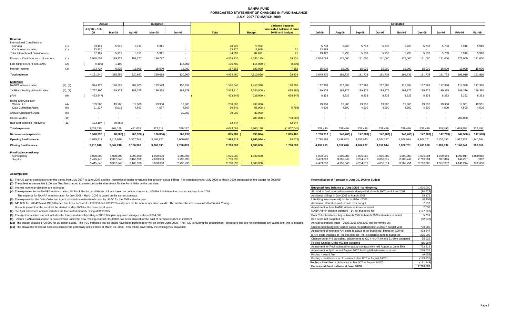#### **NANPA FUND FORECASTED STATEMENT OF CHANGES IN FUND BALANCEJULY 2007 TO MARCH 2009**

|                                                                                |            | Actual                              |                                     |                                     | <b>Budgeted</b>                     |                                     |                                     |                        | Variance between                               |                                     |                                     |                                     |                                     | <b>Estimated</b>                    |                                     |                                   |                                   |                               |
|--------------------------------------------------------------------------------|------------|-------------------------------------|-------------------------------------|-------------------------------------|-------------------------------------|-------------------------------------|-------------------------------------|------------------------|------------------------------------------------|-------------------------------------|-------------------------------------|-------------------------------------|-------------------------------------|-------------------------------------|-------------------------------------|-----------------------------------|-----------------------------------|-------------------------------|
|                                                                                |            | July 07 - Feb<br>80                 | Mar-08                              | Apr-08                              | May-08                              | <b>Jun-08</b>                       | Total                               | <b>Budget</b>          | forecasted balance at June<br>30/08 and budget | <b>Jul-08</b>                       | Aug-08                              | Sep-08                              | Oct-08                              | <b>Nov-08</b>                       | Dec-08                              | Jan-09                            | Feb-09                            | Mar-09                        |
| Revenue<br><b>International Contributions</b><br>Canada<br>Caribbean countries | (1)<br>(1) | 53,191<br>13,970                    | 5,910<br>$\sim$                     | 5,910<br>$\sim$                     | 5,911<br>$\sim$                     |                                     | 70,922<br>13,970                    | 70,922<br>13,949       | 21                                             | 5,733<br>13,589                     | 5,733<br>$\sim$                     | 5,733<br>$\sim$                     | 5,733                               | 5,733                               | 5,733                               | 5,733                             | 5,910                             | 5,910                         |
| <b>Total International Contributions</b>                                       |            | 67,161                              | 5,910                               | 5,910                               | 5,911                               |                                     | 84,892                              | 84,871                 | 21                                             | 19,322                              | 5,733                               | 5,733                               | 5,733                               | 5,733                               | 5,733                               | 5,733                             | 5,910                             | 5,910                         |
| Domestic Contributions - US carriers                                           | (1)        | 3,960,058                           | 199,724                             | 199,777                             | 199,777                             | <b>CONTRACTOR</b>                   | 4,559,336                           | 4,530,185              | 29,151                                         | 2,014,084                           | 171,000                             | 171,000                             | 171,000                             | 171,000                             | 171,000                             | 171,000                           | 171,000                           | 171,000                       |
| Late filing fees for Form 499A                                                 | (2)        | 9,400                               | 1,100                               | $\sim$                              | $\sim$                              | 115,000                             | 106,700                             | 115,000                | 8,300)                                         | $\overline{\phantom{a}}$            |                                     |                                     |                                     |                                     |                                     | ۰.                                |                                   |                               |
| Interest income                                                                | (3)        | 133,727                             | 8,825                               | 15,000                              | 15,000                              | 15,000                              | 187,552                             | 180,000                | 7,552                                          | 15,000                              | 15,000                              | 15,000                              | 15,000                              | 15,000                              | 15,000                              | 15,000                            | 15,000                            | 15,000                        |
| <b>Total revenue</b>                                                           |            | 4.151.546                           | 215,559                             | 220,687                             | 220,688                             | 130,000                             | 4.938.480                           | 4,910,056              | 28,424                                         | 2,048,406                           | 191,733                             | 191,733                             | 191,733                             | 191,733                             | 191,733                             | 191,733                           | 191.910                           | 191,910                       |
| <b>Expenses</b><br><b>NANPA Administration</b>                                 | (4), (8)   | 974,127                             | 120,523                             | 207,073                             | 113,573                             | 155,252                             | 1,570,548                           | 1,450,340              | 120,208                                        | 117,388                             | 117,388                             | 117,388                             | 117,388                             | 117,388                             | 117,388                             | 117,388                           | 117,388                           | 117,388                       |
| 1K Block Pooling Administration                                                | (4), (7)   | 1,767,306                           | 189,373                             | 189,375                             | 189,378                             | 189,378                             | 2,524,810                           | 3,200,000              | 675,190)                                       | 189,375                             | 189,375                             | 189,375                             | 189,375                             | 189,375                             | 189,375                             | 189,375                           | 189,376                           | 189,376                       |
| pANI                                                                           | (9)        | 433,847)                            |                                     | $\sim$                              | $\sim$                              | $\sim$                              | 433,847)                            | 225,000                | 658,847)                                       | 8,333                               | 8,333                               | 8,333                               | 8,333                               | 8,333                               | 8,333                               | 8,333                             | 8,333                             | 8,333                         |
| <b>Billing and Collection</b><br>Welch LLP<br>Data Collection Agent            | (4)<br>(5) | 159,200<br>31,227                   | 19,900<br>5.013                     | 19,900<br>4,667                     | 19,900<br>4.667                     | 19,900<br>4,667                     | 238,800<br>50,241                   | 238,800<br>56,000 (    | 5,759                                          | 19,900<br>4,500                     | 19,900<br>4,500                     | 19,900<br>4,500                     | 19,900<br>4.500                     | 19,900<br>4,500                     | 19,900<br>4,500                     | 19,900<br>4,500                   | 19,901<br>4,500                   | 19,901<br>4,500               |
| <b>Annual Operations Audit</b>                                                 | (6)        |                                     |                                     |                                     | . .                                 | 30,000                              | 30,000                              | 30,000                 |                                                |                                     |                                     |                                     |                                     |                                     |                                     |                                   |                                   |                               |
| <b>Carrier Audits</b>                                                          | (10)       |                                     |                                     |                                     |                                     |                                     | <b>Carl Co</b>                      | 700,000                | 700,000)                                       |                                     |                                     |                                     |                                     |                                     |                                     |                                   | 700,000                           |                               |
| Bad debt expense (recovery)                                                    | (11)       | 133,197                             | 70,650)                             |                                     |                                     |                                     | 62,547                              | - 1                    | 62,547                                         |                                     |                                     |                                     |                                     |                                     |                                     |                                   |                                   |                               |
| <b>Total expenses</b>                                                          |            | 2,631,210                           | 264,159                             | 421.015                             | 327,518                             | 399.197                             | 4.043.099                           | 5.900.140              | (1,857,041)                                    | 339,496                             | 339,496                             | 339,496                             | 339,496                             | 339,496                             | 339,496                             | 339,496                           | 1,039,498                         | 339,498                       |
| Net revenue (expenses)                                                         |            | 1,520,336                           | 48,600)                             | 200,328)                            | 106,830) (                          | 269,197)                            | 895,381 (                           | 990,084)               | 1,885,465                                      | 1,708,910                           | 147,763) (                          | 147,763) (                          | 147,763)                            | 147,763)                            | 147,763) (                          | 147,763)                          | 847,588)(                         | 147,588)                      |
| Opening fund balance                                                           |            | 1,895,512                           | 3,415,848                           | 3,367,248                           | 3,166,920                           | 3.060.090                           | 1,895,512                           | 1,990,084              | 94,572)                                        | 2,790,893                           | 4.499.803                           | 4,352,040                           | 4,204,277                           | 4,056,514                           | 3,908,751                           | 2,135,595                         | 1,987,832                         | 1,140,244                     |
| <b>Closing fund balance</b>                                                    |            | 3,415,848                           | 3,367,248                           | 3,166,920                           | 3,060,090                           | 2,790,893                           | 2,790,893                           | 1,000,000              | 1,790,893                                      | 4,499,803                           | 4,352,040                           | 4,204,277                           | 4,056,514                           | 3,908,751                           | 3,760,988                           | 1,987,832                         | 1,140,244                         | 992,656                       |
| Fund balance makeup:<br>Contingency<br>Surplus                                 |            | 1,000,000<br>2,415,848<br>3,415,848 | 1,000,000<br>2,367,248<br>3,367,248 | 1,000,000<br>2,166,920<br>3,166,920 | 1,000,000<br>2,060,090<br>3.060.090 | 1,000,000<br>1,790,893<br>2,790,893 | 1,000,000<br>1,790,893<br>2.790.893 | 1,000,000<br>1.000.000 |                                                | 1.000.000<br>3.499.803<br>4.499.803 | 1.000.000<br>3,352,040<br>4,352,040 | 1,000,000<br>3,204,277<br>4.204.277 | 1,000,002<br>3,056,512<br>4.056.514 | 1,000,003<br>2,908,748<br>3.908.751 | 1.000.004<br>2,760,984<br>3,760,988 | 1,000,016<br>987,816<br>1,987,832 | 1.000.017<br>140,227<br>1,140,244 | 1,000,018<br>7,362<br>992,656 |

#### **Assumptions:**

(1) The US carrier contributions for the period from July 2007 to June 2008 and the International carrier revenue is based upon actual billings The contributions for July 2008 to March 2009 are based on the budget for 2008

**(2)** These fees represent the \$100 late filing fee charged to those companies that do not file the Form 499A by the due date.

**(3)** Interest income projections are estimates

(4) The expenses for the NANPA Administration, 1K Block Pooling and Welch LLP are based on contracts in force. NANPA Administration contract expires June 2008.

The expense for NANPA Administration for July 2008 - March 2009 is based on the current contract.

**(5)** The expense for the Data Collection Agent is based on estimate of costs by USAC for the 2008 calendar year.

It is anticipated that the audit will be started in May 2008 for the three fiscal years. **(6)** \$45,000 for 2004/05 and \$30,000 each has been accrued for 2005/06 and 2006/07 fiscal years for the annual operations audit. The contract has been awarded to Ernst & Young. .

**(7)** The April forecasted amount includes the forecasted monthly billing of \$189,375.

(8) The April forecasted amount includes the forecasted monthly billing of \$113,064 plus approved changes orders of \$94,009

(9) Interim p-ANI administration is now covered under the new Pooling contract. \$100,000 has been allowed for the cost of permanent pANI in 2008/09.

(10) The budget allowed \$700,000 for 16 carrier audits. The FCC indicated that no audits have been performed or will be before June 2008. The FCC is revising the procurement procedure and are not conducting any audits unti

(11) The allowance covers all accounts considered potentially uncollectible at March 31, 2008. This will be covered by the contingency allowance.

#### **Reconciliation of Forecast at June 30, 2008 to Budget**

| Budgeted fund balance at June 30/08 - contingency                            | 1,000,000  |
|------------------------------------------------------------------------------|------------|
| Shortfall in fund incurred between budget period (March 2007) and June 2007  | (94, 572)  |
| Additional billings in July 2007 to March 2008                               | 29,172     |
| Late filing fees (reversal) for Form 499A - 2006                             | (8,300)    |
| Additional interest earned to date over budget                               | 7,552      |
| Adjustment to June NANP Admin estimate to actual                             | 7,000      |
| NANP Admin change orders#6 - 14 not budgeted for                             | (127, 208) |
| Data Collection fees - Adjust March 2007 to March 2008 estimates to actual   | 5.759      |
| Bad debts not budgeted for                                                   | (62, 547)  |
| Annual operations audit - 2005, 2006 and 2007 not performed yet              |            |
| Unexpended budget for carrier audits not performed in 2006/07 budget year    | 700,000    |
| Adjustment of interim p-ANI costs to actual (over budgeted) based on CO#48   | 433,847    |
| p-ANI costs included in Pooling contract - not a separate item as budgeted   | 225,000    |
| Change order #46 cancelled, adjustments to CO #44,47,49 and 51 from budgeted | 35,039     |
| Pooling Change Order #51 not budgeted                                        | (16, 987)  |
| Adjustment for Pooling based on actual contract from mid August to June 30th | 763,212    |
| Adjustment to April to mid August 2007 Pooling bill estimates to actual      | 218,635    |
| Pooling - award fee                                                          | (9,056)    |
| Pooling - merit bonus re old contract (Jan 1/07 to August 14/07)             | (183, 805) |
| Pooling - Fixed fee re old contract (Jan 1/07 to August 14/07)               | (131, 848) |
| Forecasted Fund balance at June 30/08                                        | 2,790,893  |